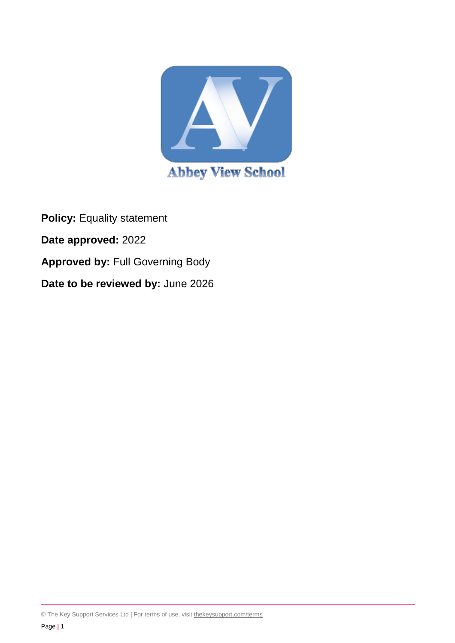

**Policy:** Equality statement **Date approved:** 2022 **Approved by:** Full Governing Body **Date to be reviewed by:** June 2026

© The Key Support Services Ltd | For terms of use, visit [thekeysupport.com/terms](https://thekeysupport.com/terms-of-use)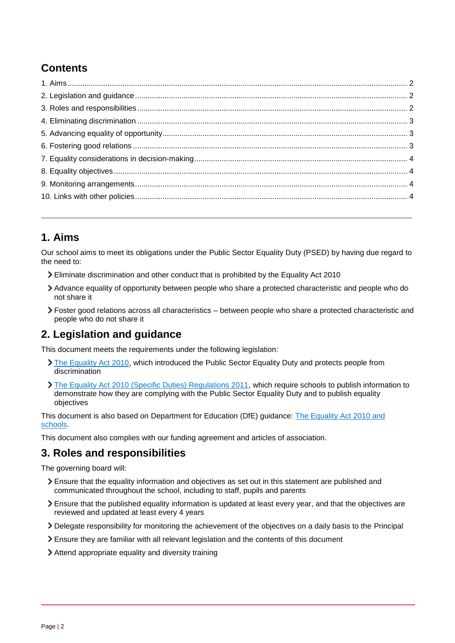# **Contents**

# <span id="page-1-0"></span>**1. Aims**

Our school aims to meet its obligations under the Public Sector Equality Duty (PSED) by having due regard to the need to:

- Eliminate discrimination and other conduct that is prohibited by the Equality Act 2010
- Advance equality of opportunity between people who share a protected characteristic and people who do not share it
- Foster good relations across all characteristics between people who share a protected characteristic and people who do not share it

### <span id="page-1-1"></span>**2. Legislation and guidance**

This document meets the requirements under the following legislation:

- [The Equality Act 2010,](http://www.legislation.gov.uk/ukpga/2010/15/contents) which introduced the Public Sector Equality Duty and protects people from discrimination
- [The Equality Act 2010 \(Specific Duties\) Regulations 2011,](http://www.legislation.gov.uk/uksi/2011/2260/contents/made) which require schools to publish information to demonstrate how they are complying with the Public Sector Equality Duty and to publish equality objectives

This document is also based on Department for Education (DfE) guidance: [The Equality Act 2010 and](https://www.gov.uk/government/publications/equality-act-2010-advice-for-schools)  [schools.](https://www.gov.uk/government/publications/equality-act-2010-advice-for-schools)

This document also complies with our funding agreement and articles of association.

#### <span id="page-1-2"></span>**3. Roles and responsibilities**

The governing board will:

- Ensure that the equality information and objectives as set out in this statement are published and communicated throughout the school, including to staff, pupils and parents
- Ensure that the published equality information is updated at least every year, and that the objectives are reviewed and updated at least every 4 years
- Delegate responsibility for monitoring the achievement of the objectives on a daily basis to the Principal
- Ensure they are familiar with all relevant legislation and the contents of this document
- Attend appropriate equality and diversity training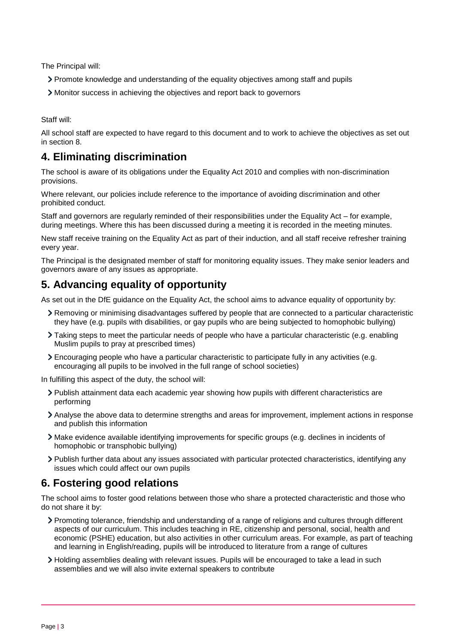The Principal will:

- Promote knowledge and understanding of the equality objectives among staff and pupils
- Monitor success in achieving the objectives and report back to governors

Staff will:

All school staff are expected to have regard to this document and to work to achieve the objectives as set out in section 8.

### <span id="page-2-0"></span>**4. Eliminating discrimination**

The school is aware of its obligations under the Equality Act 2010 and complies with non-discrimination provisions.

Where relevant, our policies include reference to the importance of avoiding discrimination and other prohibited conduct.

Staff and governors are regularly reminded of their responsibilities under the Equality Act – for example, during meetings. Where this has been discussed during a meeting it is recorded in the meeting minutes.

New staff receive training on the Equality Act as part of their induction, and all staff receive refresher training every year.

The Principal is the designated member of staff for monitoring equality issues. They make senior leaders and governors aware of any issues as appropriate.

# <span id="page-2-1"></span>**5. Advancing equality of opportunity**

As set out in the DfE guidance on the Equality Act, the school aims to advance equality of opportunity by:

- Removing or minimising disadvantages suffered by people that are connected to a particular characteristic they have (e.g. pupils with disabilities, or gay pupils who are being subjected to homophobic bullying)
- Taking steps to meet the particular needs of people who have a particular characteristic (e.g. enabling Muslim pupils to pray at prescribed times)
- Encouraging people who have a particular characteristic to participate fully in any activities (e.g. encouraging all pupils to be involved in the full range of school societies)

In fulfilling this aspect of the duty, the school will:

- Publish attainment data each academic year showing how pupils with different characteristics are performing
- Analyse the above data to determine strengths and areas for improvement, implement actions in response and publish this information
- Make evidence available identifying improvements for specific groups (e.g. declines in incidents of homophobic or transphobic bullying)
- Publish further data about any issues associated with particular protected characteristics, identifying any issues which could affect our own pupils

# <span id="page-2-2"></span>**6. Fostering good relations**

The school aims to foster good relations between those who share a protected characteristic and those who do not share it by:

- Promoting tolerance, friendship and understanding of a range of religions and cultures through different aspects of our curriculum. This includes teaching in RE, citizenship and personal, social, health and economic (PSHE) education, but also activities in other curriculum areas. For example, as part of teaching and learning in English/reading, pupils will be introduced to literature from a range of cultures
- Holding assemblies dealing with relevant issues. Pupils will be encouraged to take a lead in such assemblies and we will also invite external speakers to contribute